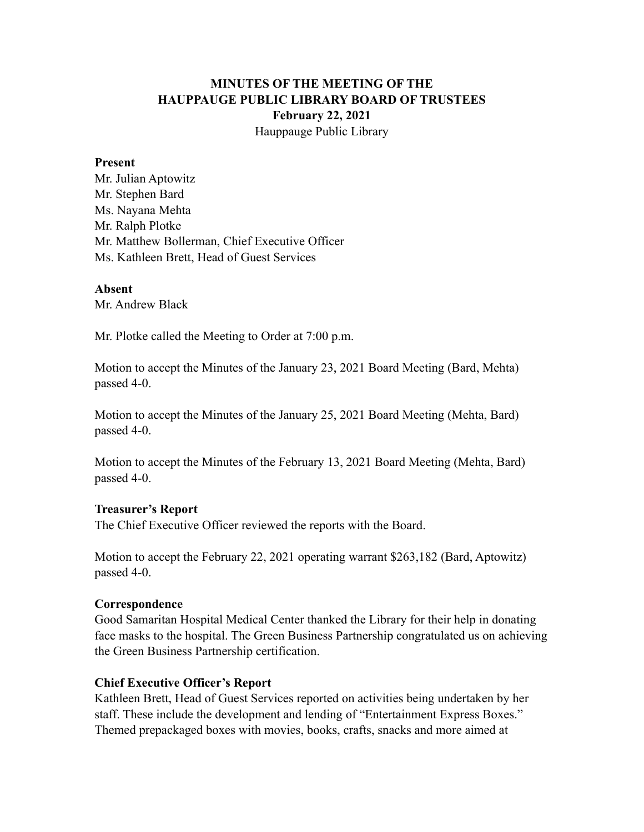# **MINUTES OF THE MEETING OF THE HAUPPAUGE PUBLIC LIBRARY BOARD OF TRUSTEES February 22, 2021** Hauppauge Public Library

#### **Present**

Mr. Julian Aptowitz Mr. Stephen Bard Ms. Nayana Mehta Mr. Ralph Plotke Mr. Matthew Bollerman, Chief Executive Officer Ms. Kathleen Brett, Head of Guest Services

#### **Absent**

Mr. Andrew Black

Mr. Plotke called the Meeting to Order at 7:00 p.m.

Motion to accept the Minutes of the January 23, 2021 Board Meeting (Bard, Mehta) passed 4-0.

Motion to accept the Minutes of the January 25, 2021 Board Meeting (Mehta, Bard) passed 4-0.

Motion to accept the Minutes of the February 13, 2021 Board Meeting (Mehta, Bard) passed 4-0.

## **Treasurer's Report**

The Chief Executive Officer reviewed the reports with the Board.

Motion to accept the February 22, 2021 operating warrant \$263,182 (Bard, Aptowitz) passed 4-0.

## **Correspondence**

Good Samaritan Hospital Medical Center thanked the Library for their help in donating face masks to the hospital. The Green Business Partnership congratulated us on achieving the Green Business Partnership certification.

## **Chief Executive Officer's Report**

Kathleen Brett, Head of Guest Services reported on activities being undertaken by her staff. These include the development and lending of "Entertainment Express Boxes." Themed prepackaged boxes with movies, books, crafts, snacks and more aimed at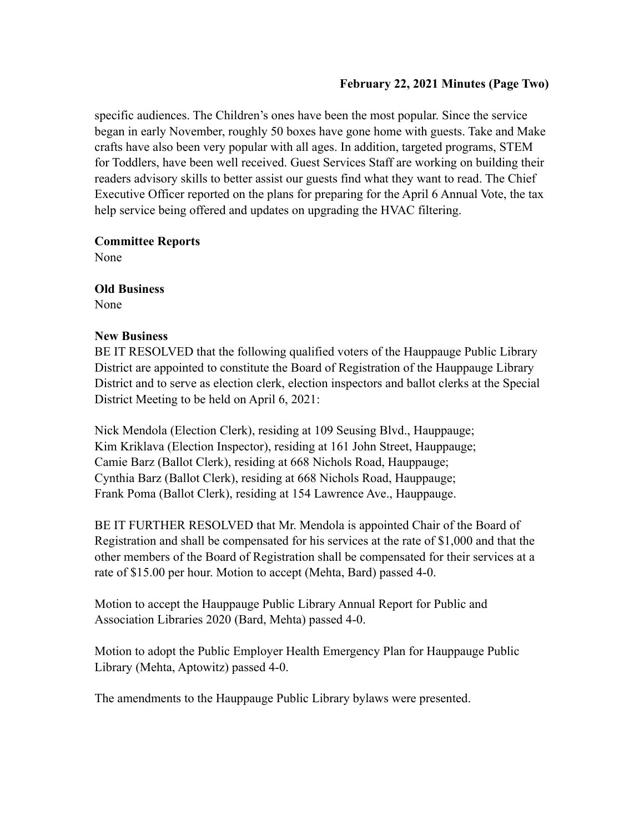## **February 22, 2021 Minutes (Page Two)**

specific audiences. The Children's ones have been the most popular. Since the service began in early November, roughly 50 boxes have gone home with guests. Take and Make crafts have also been very popular with all ages. In addition, targeted programs, STEM for Toddlers, have been well received. Guest Services Staff are working on building their readers advisory skills to better assist our guests find what they want to read. The Chief Executive Officer reported on the plans for preparing for the April 6 Annual Vote, the tax help service being offered and updates on upgrading the HVAC filtering.

## **Committee Reports**

None

## **Old Business**

None

## **New Business**

BE IT RESOLVED that the following qualified voters of the Hauppauge Public Library District are appointed to constitute the Board of Registration of the Hauppauge Library District and to serve as election clerk, election inspectors and ballot clerks at the Special District Meeting to be held on April 6, 2021:

Nick Mendola (Election Clerk), residing at 109 Seusing Blvd., Hauppauge; Kim Kriklava (Election Inspector), residing at 161 John Street, Hauppauge; Camie Barz (Ballot Clerk), residing at 668 Nichols Road, Hauppauge; Cynthia Barz (Ballot Clerk), residing at 668 Nichols Road, Hauppauge; Frank Poma (Ballot Clerk), residing at 154 Lawrence Ave., Hauppauge.

BE IT FURTHER RESOLVED that Mr. Mendola is appointed Chair of the Board of Registration and shall be compensated for his services at the rate of \$1,000 and that the other members of the Board of Registration shall be compensated for their services at a rate of \$15.00 per hour. Motion to accept (Mehta, Bard) passed 4-0.

Motion to accept the Hauppauge Public Library Annual Report for Public and Association Libraries 2020 (Bard, Mehta) passed 4-0.

Motion to adopt the Public Employer Health Emergency Plan for Hauppauge Public Library (Mehta, Aptowitz) passed 4-0.

The amendments to the Hauppauge Public Library bylaws were presented.